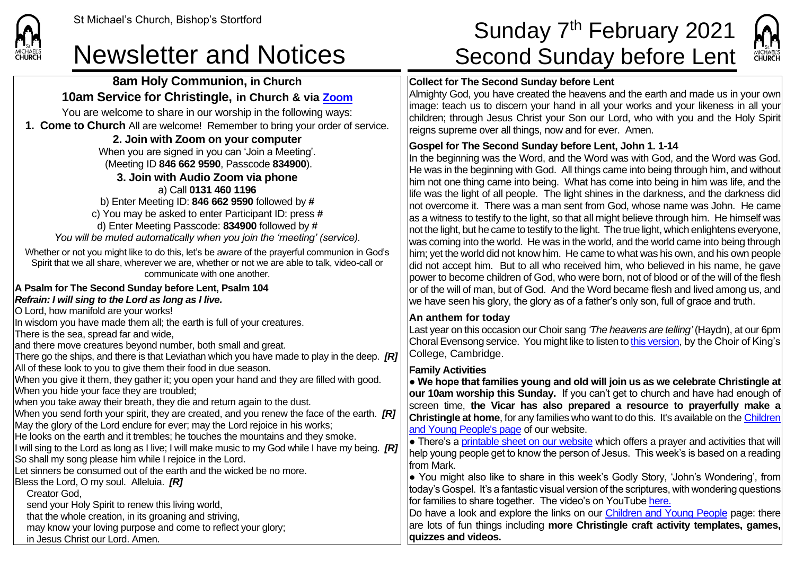| 8am Holy Communion, in Church                                                                                                                                                                                                                                                                                                                                                                                                                                        | <b>Collect for Th</b>                                                                                           |
|----------------------------------------------------------------------------------------------------------------------------------------------------------------------------------------------------------------------------------------------------------------------------------------------------------------------------------------------------------------------------------------------------------------------------------------------------------------------|-----------------------------------------------------------------------------------------------------------------|
| 10am Service for Christingle, in Church & via Zoom                                                                                                                                                                                                                                                                                                                                                                                                                   | Almighty God,                                                                                                   |
| You are welcome to share in our worship in the following ways:                                                                                                                                                                                                                                                                                                                                                                                                       | image: teach u                                                                                                  |
| 1. Come to Church All are welcome! Remember to bring your order of service.                                                                                                                                                                                                                                                                                                                                                                                          | children; throu<br>reigns suprem                                                                                |
| 2. Join with Zoom on your computer                                                                                                                                                                                                                                                                                                                                                                                                                                   |                                                                                                                 |
| When you are signed in you can 'Join a Meeting'.<br>(Meeting ID 846 662 9590, Passcode 834900).<br>3. Join with Audio Zoom via phone                                                                                                                                                                                                                                                                                                                                 | <b>Gospel for Th</b><br>In the beginnin<br>He was in the I<br>him not one thi                                   |
| a) Call 0131 460 1196<br>b) Enter Meeting ID: $8466629590$ followed by $#$<br>c) You may be asked to enter Participant ID: press #<br>d) Enter Meeting Passcode: 834900 followed by #<br>You will be muted automatically when you join the 'meeting' (service).                                                                                                                                                                                                      | life was the ligl<br>not overcome<br>as a witness to<br>not the light, bu<br>was coming int                     |
| Whether or not you might like to do this, let's be aware of the prayerful communion in God's<br>Spirit that we all share, wherever we are, whether or not we are able to talk, video-call or<br>communicate with one another.                                                                                                                                                                                                                                        | him; yet the wo<br>did not accept<br>power to becor                                                             |
| A Psalm for The Second Sunday before Lent, Psalm 104<br>Refrain: I will sing to the Lord as long as I live.<br>O Lord, how manifold are your works!                                                                                                                                                                                                                                                                                                                  | or of the will of<br>we have seen                                                                               |
| In wisdom you have made them all; the earth is full of your creatures.<br>There is the sea, spread far and wide,<br>and there move creatures beyond number, both small and great.<br>There go the ships, and there is that Leviathan which you have made to play in the deep. $[RT]$                                                                                                                                                                                 | An anthem fo<br>Last year on th<br><b>Choral Evenso</b><br>College, Cam                                         |
| All of these look to you to give them their food in due season.<br>When you give it them, they gather it; you open your hand and they are filled with good.<br>When you hide your face they are troubled;<br>when you take away their breath, they die and return again to the dust.<br>When you send forth your spirit, they are created, and you renew the face of the earth. [R]<br>May the glory of the Lord endure for ever; may the Lord rejoice in his works; | <b>Family Activit</b><br>• We hope tha<br>our 10am wor<br>screen time,<br><b>Christingle at</b><br>and Young Pe |
| He looks on the earth and it trembles; he touches the mountains and they smoke.<br>I will sing to the Lord as long as I live; I will make music to my God while I have my being. [R]<br>So shall my song please him while I rejoice in the Lord.<br>Let sinners be consumed out of the earth and the wicked be no more.<br>Bless the Lord, O my soul. Alleluia. [R]                                                                                                  | • There's a pri<br>help young ped<br>from Mark.<br>• You might a<br>today's Gospel                              |
| Creator God,<br>send your Holy Spirit to renew this living world,<br>that the whole creation, in its groaning and striving,<br>may know your loving purpose and come to reflect your glory;<br>in Jesus Christ our Lord. Amen.                                                                                                                                                                                                                                       | for families to s<br>Do have a loo<br>are lots of fun<br>quizzes and v                                          |

# St Michael's Church, Bishop's Stortford  $\textsf{Sunday 7}^{\textsf{th}}\ \textsf{February} \ 2021$ Newsletter and Notices Second Sunday before Lent



### **Recond Sunday before Lent**

you have created the heavens and the earth and made us in your own us to discern your hand in all your works and your likeness in all your children; through Jesus Christ your Son our Lord, who with you and the Holy Spirit re over all things, now and for ever. Amen.

### **Gospel Sunday before Lent, John 1. 1-14**

In the beginning was with God, and the Word was God. beginning with God. All things came into being through him, and without ing came into being. What has come into being in him was life, and the Int of all people. The light shines in the darkness, and the darkness did it. There was a man sent from God, whose name was John. He came testify to the light, so that all might believe through him. He himself was at he came to testify to the light. The true light, which enlightens everyone, to the world. He was in the world, and the world came into being through orld did not know him. He came to what was his own, and his own people him. But to all who received him, who believed in his name, he gave me children of God, who were born, not of blood or of the will of the flesh man, but of God. And the Word became flesh and lived among us, and his glory, the glory as of a father's only son, full of grace and truth.

#### **Andray**

his occasion our Choir sang *'The heavens are telling'* (Haydn), at our 6pm ong service. You might like to listen t[o this version,](https://www.youtube.com/watch?v=4Pt93ht7HZM) by the Choir of King's bridge.

#### **Family Activities**

at families young and old will join us as we celebrate Christingle at **rship this Sunday.** If you can't get to church and have had enough of the Vicar has also prepared a resource to praverfully make a **home**, for any families who want to do this. It's available on the Children ople's page of our website.

intable sheet on our website which offers a prayer and activities that will ople get to know the person of Jesus. This week's is based on a reading

also like to share in this week's Godly Story, 'John's Wondering', from . It's a fantastic visual version of the scriptures, with wondering questions share together. The video's on YouTube [here.](https://www.youtube.com/watch?v=-51rBSimKn8)

k and explore the links on our [Children and Young People](https://saintmichaelweb.org.uk/Groups/310496/Children_and_Young.aspx) page: there things including **more Christingle craft activity templates, games, quizzes and videos.**